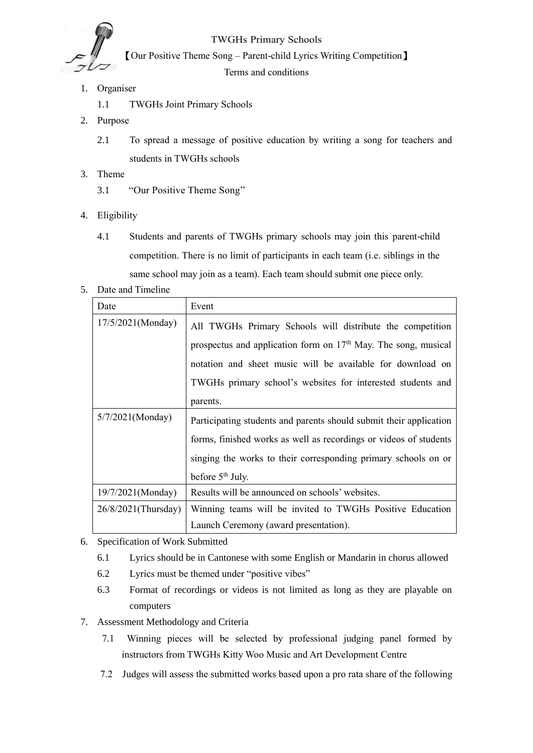

TWGHs Primary Schools

【Our Positive Theme Song – Parent-child Lyrics Writing Competition】

Terms and conditions

- 1. Organiser
	- 1.1 TWGHs Joint Primary Schools
- 2. Purpose
	- 2.1 To spread a message of positive education by writing a song for teachers and students in TWGHs schools
- 3. Theme
	- 3.1 "Our Positive Theme Song"
- 4. Eligibility
	- 4.1 Students and parents of TWGHs primary schools may join this parent-child competition. There is no limit of participants in each team (i.e. siblings in the same school may join as a team). Each team should submit one piece only.
- 5. Date and Timeline

| Date                | Event                                                                      |
|---------------------|----------------------------------------------------------------------------|
| 17/5/2021(Monday)   | All TWGHs Primary Schools will distribute the competition                  |
|                     | prospectus and application form on 17 <sup>th</sup> May. The song, musical |
|                     | notation and sheet music will be available for download on                 |
|                     | TWGHs primary school's websites for interested students and                |
|                     | parents.                                                                   |
| $5/7/2021$ (Monday) | Participating students and parents should submit their application         |
|                     | forms, finished works as well as recordings or videos of students          |
|                     | singing the works to their corresponding primary schools on or             |
|                     | before 5 <sup>th</sup> July.                                               |
| 19/7/2021(Monday)   | Results will be announced on schools' websites.                            |
| 26/8/2021(Thursday) | Winning teams will be invited to TWGHs Positive Education                  |
|                     | Launch Ceremony (award presentation).                                      |

- 6. Specification of Work Submitted
	- 6.1 Lyrics should be in Cantonese with some English or Mandarin in chorus allowed
	- 6.2 Lyrics must be themed under "positive vibes"
	- 6.3 Format of recordings or videos is not limited as long as they are playable on computers
- 7. Assessment Methodology and Criteria
	- 7.1 Winning pieces will be selected by professional judging panel formed by instructors from TWGHs Kitty Woo Music and Art Development Centre
	- 7.2 Judges will assess the submitted works based upon a pro rata share of the following